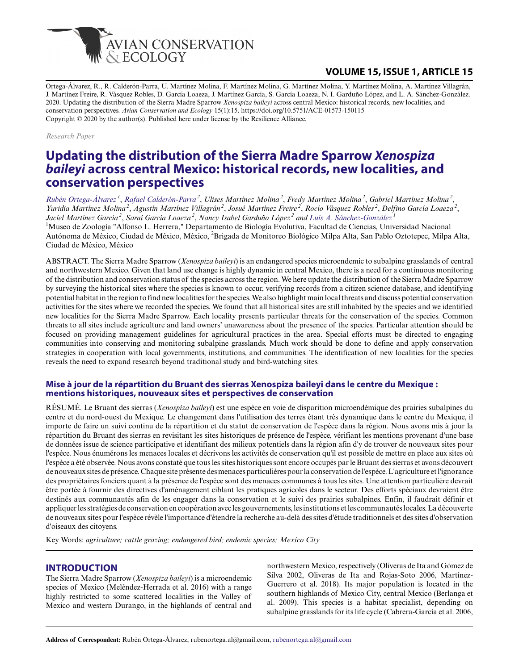

## **VOLUME 15, ISSUE 1, ARTICLE 15**

Ortega-Álvarez, R., R. Calderón-Parra, U. Martínez Molina, F. Martínez Molina, G. Martínez Molina, Y. Martínez Molina, A. Martínez Villagrán, J. Martínez Freire, R. Vásquez Robles, D. García Loaeza, J. Martínez García, S. García Loaeza, N. I. Garduño López, and L. A. Sánchez-González. 2020. Updating the distribution of the Sierra Madre Sparrow *Xenospiza baileyi* across central Mexico: historical records, new localities, and conservation perspectives. *Avian Conservation and Ecology* 15(1):15. https://doi.org/10.5751/ACE-01573-150115 Copyright © 2020 by the author(s). Published here under license by the Resilience Alliance.

*Research Paper*

# **Updating the distribution of the Sierra Madre Sparrow** *Xenospiza baileyi* **across central Mexico: historical records, new localities, and conservation perspectives**

*[Rubén Ortega-Álvarez](mailto:rubenortega.al@gmail.com)<sup>1</sup>* , *[Rafael Calderón-Parra](mailto:tlehuitzilin@yahoo.com.mx)<sup>2</sup>* , *Ulises Martínez Molina<sup>2</sup>* , *Fredy Martínez Molina<sup>2</sup>* , *Gabriel Martínez Molina<sup>2</sup>* , *Yuridia Martínez Molina<sup>2</sup>* , *Agustín Martínez Villagrán<sup>2</sup>* , *Josué Martínez Freire<sup>2</sup>* , *Rocío Vásquez Robles<sup>2</sup>* , *Delfino García Loaeza<sup>2</sup>* , *Jaciel Martínez García<sup>2</sup>* , *Sarai García Loaeza<sup>2</sup>* , *Nancy Isabel Garduño López<sup>2</sup> and [Luis A. Sánchez-González](mailto:lasg@ciencias.unam.mx)<sup>1</sup>* <sup>1</sup>Museo de Zoología "Alfonso L. Herrera," Departamento de Biología Evolutiva, Facultad de Ciencias, Universidad Nacional Autónoma de México, Ciudad de México, México, <sup>2</sup>Brigada de Monitoreo Biológico Milpa Alta, San Pablo Oztotepec, Milpa Alta, Ciudad de México, México

ABSTRACT. The Sierra Madre Sparrow (*Xenospiza baileyi*) is an endangered species microendemic to subalpine grasslands of central and northwestern Mexico. Given that land use change is highly dynamic in central Mexico, there is a need for a continuous monitoring of the distribution and conservation status of the species across the region. We here update the distribution of the Sierra Madre Sparrow by surveying the historical sites where the species is known to occur, verifying records from a citizen science database, and identifying potential habitat in the region to find new localities for the species. We also highlight main local threats and discuss potential conservation activities for the sites where we recorded the species. We found that all historical sites are still inhabited by the species and we identified new localities for the Sierra Madre Sparrow. Each locality presents particular threats for the conservation of the species. Common threats to all sites include agriculture and land owners' unawareness about the presence of the species. Particular attention should be focused on providing management guidelines for agricultural practices in the area. Special efforts must be directed to engaging communities into conserving and monitoring subalpine grasslands. Much work should be done to define and apply conservation strategies in cooperation with local governments, institutions, and communities. The identification of new localities for the species reveals the need to expand research beyond traditional study and bird-watching sites.

#### **Mise à jour de la répartition du Bruant des sierras Xenospiza baileyi dans le centre du Mexique : mentions historiques, nouveaux sites et perspectives de conservation**

RÉSUMÉ. Le Bruant des sierras (*Xenospiza baileyi*) est une espèce en voie de disparition microendémique des prairies subalpines du centre et du nord-ouest du Mexique. Le changement dans l'utilisation des terres étant très dynamique dans le centre du Mexique, il importe de faire un suivi continu de la répartition et du statut de conservation de l'espèce dans la région. Nous avons mis à jour la répartition du Bruant des sierras en revisitant les sites historiques de présence de l'espèce, vérifiant les mentions provenant d'une base de données issue de science participative et identifiant des milieux potentiels dans la région afin d'y de trouver de nouveaux sites pour l'espèce. Nous énumérons les menaces locales et décrivons les activités de conservation qu'il est possible de mettre en place aux sites où l'espèce a été observée. Nous avons constaté que tous les sites historiques sont encore occupés par le Bruant des sierras et avons découvert de nouveaux sites de présence. Chaque site présente des menaces particulières pour la conservation de l'espèce. L'agriculture et l'ignorance des propriétaires fonciers quant à la présence de l'espèce sont des menaces communes à tous les sites. Une attention particulière devrait être portée à fournir des directives d'aménagement ciblant les pratiques agricoles dans le secteur. Des efforts spéciaux devraient être destinés aux communautés afin de les engager dans la conservation et le suivi des prairies subalpines. Enfin, il faudrait définir et appliquer les stratégies de conservation en coopération avec les gouvernements, les institutions et les communautés locales. La découverte de nouveaux sites pour l'espèce révèle l'importance d'étendre la recherche au-delà des sites d'étude traditionnels et des sites d'observation d'oiseaux des citoyens.

Key Words: *agriculture; cattle grazing; endangered bird; endemic species; Mexico City*

#### **INTRODUCTION**

The Sierra Madre Sparrow (*Xenospiza baileyi*) is a microendemic species of Mexico (Meléndez-Herrada et al. 2016) with a range highly restricted to some scattered localities in the Valley of Mexico and western Durango, in the highlands of central and northwestern Mexico, respectively (Oliveras de Ita and Gómez de Silva 2002, Oliveras de Ita and Rojas-Soto 2006, Martínez-Guerrero et al. 2018). Its major population is located in the southern highlands of Mexico City, central Mexico (Berlanga et al. 2009). This species is a habitat specialist, depending on subalpine grasslands for its life cycle (Cabrera-García et al. 2006,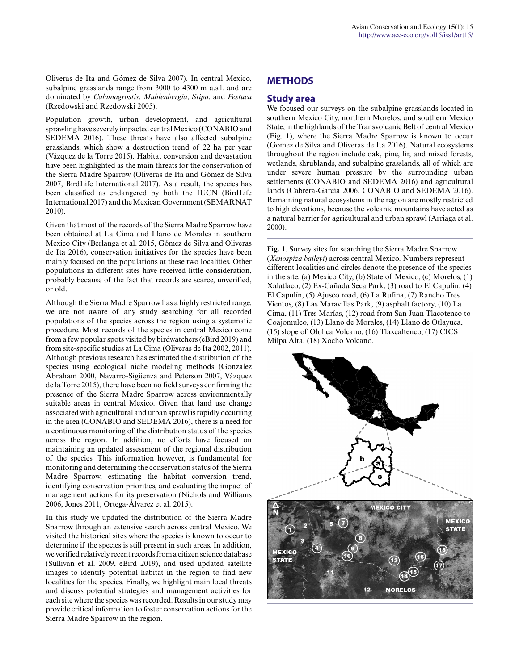Oliveras de Ita and Gómez de Silva 2007). In central Mexico, subalpine grasslands range from 3000 to 4300 m a.s.l. and are dominated by *Calamagrostis*, *Muhlenbergia*, *Stipa*, and *Festuca* (Rzedowski and Rzedowski 2005).

Population growth, urban development, and agricultural sprawling have severely impacted central Mexico (CONABIO and SEDEMA 2016). These threats have also affected subalpine grasslands, which show a destruction trend of 22 ha per year (Vázquez de la Torre 2015). Habitat conversion and devastation have been highlighted as the main threats for the conservation of the Sierra Madre Sparrow (Oliveras de Ita and Gómez de Silva 2007, BirdLife International 2017). As a result, the species has been classified as endangered by both the IUCN (BirdLife International 2017) and the Mexican Government (SEMARNAT 2010).

Given that most of the records of the Sierra Madre Sparrow have been obtained at La Cima and Llano de Morales in southern Mexico City (Berlanga et al. 2015, Gómez de Silva and Oliveras de Ita 2016), conservation initiatives for the species have been mainly focused on the populations at these two localities. Other populations in different sites have received little consideration, probably because of the fact that records are scarce, unverified, or old.

Although the Sierra Madre Sparrow has a highly restricted range, we are not aware of any study searching for all recorded populations of the species across the region using a systematic procedure. Most records of the species in central Mexico come from a few popular spots visited by birdwatchers (eBird 2019) and from site-specific studies at La Cima (Oliveras de Ita 2002, 2011). Although previous research has estimated the distribution of the species using ecological niche modeling methods (González Abraham 2000, Navarro-Sigüenza and Peterson 2007, Vázquez de la Torre 2015), there have been no field surveys confirming the presence of the Sierra Madre Sparrow across environmentally suitable areas in central Mexico. Given that land use change associated with agricultural and urban sprawl is rapidly occurring in the area (CONABIO and SEDEMA 2016), there is a need for a continuous monitoring of the distribution status of the species across the region. In addition, no efforts have focused on maintaining an updated assessment of the regional distribution of the species. This information however, is fundamental for monitoring and determining the conservation status of the Sierra Madre Sparrow, estimating the habitat conversion trend, identifying conservation priorities, and evaluating the impact of management actions for its preservation (Nichols and Williams 2006, Jones 2011, Ortega-Álvarez et al. 2015).

In this study we updated the distribution of the Sierra Madre Sparrow through an extensive search across central Mexico. We visited the historical sites where the species is known to occur to determine if the species is still present in such areas. In addition, we verified relatively recent records from a citizen science database (Sullivan et al. 2009, eBird 2019), and used updated satellite images to identify potential habitat in the region to find new localities for the species. Finally, we highlight main local threats and discuss potential strategies and management activities for each site where the species was recorded. Results in our study may provide critical information to foster conservation actions for the Sierra Madre Sparrow in the region.

### **METHODS**

#### **Study area**

We focused our surveys on the subalpine grasslands located in southern Mexico City, northern Morelos, and southern Mexico State, in the highlands of the Transvolcanic Belt of central Mexico (Fig. 1), where the Sierra Madre Sparrow is known to occur (Gómez de Silva and Oliveras de Ita 2016). Natural ecosystems throughout the region include oak, pine, fir, and mixed forests, wetlands, shrublands, and subalpine grasslands, all of which are under severe human pressure by the surrounding urban settlements (CONABIO and SEDEMA 2016) and agricultural lands (Cabrera-García 2006, CONABIO and SEDEMA 2016). Remaining natural ecosystems in the region are mostly restricted to high elevations, because the volcanic mountains have acted as a natural barrier for agricultural and urban sprawl (Arriaga et al. 2000).

**Fig. 1**. Survey sites for searching the Sierra Madre Sparrow (*Xenospiza baileyi*) across central Mexico. Numbers represent different localities and circles denote the presence of the species in the site. (a) Mexico City, (b) State of Mexico, (c) Morelos, (1) Xalatlaco, (2) Ex-Cañada Seca Park, (3) road to El Capulín, (4) El Capulín, (5) Ajusco road, (6) La Rufina, (7) Rancho Tres Vientos, (8) Las Maravillas Park, (9) asphalt factory, (10) La Cima, (11) Tres Marías, (12) road from San Juan Tlacotenco to Coajomulco, (13) Llano de Morales, (14) Llano de Otlayuca, (15) slope of Ololica Volcano, (16) Tlaxcaltenco, (17) CICS Milpa Alta, (18) Xocho Volcano.

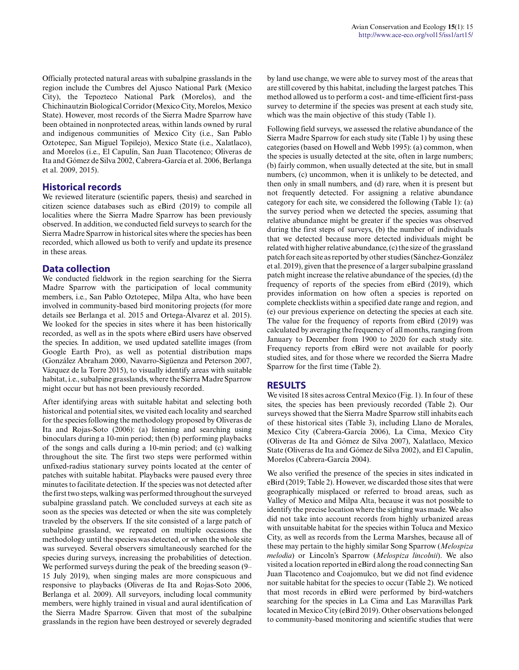Officially protected natural areas with subalpine grasslands in the region include the Cumbres del Ajusco National Park (Mexico City), the Tepozteco National Park (Morelos), and the Chichinautzin Biological Corridor (Mexico City, Morelos, Mexico State). However, most records of the Sierra Madre Sparrow have been obtained in nonprotected areas, within lands owned by rural and indigenous communities of Mexico City (i.e., San Pablo Oztotepec, San Miguel Topilejo), Mexico State (i.e., Xalatlaco), and Morelos (i.e., El Capulín, San Juan Tlacotenco; Oliveras de Ita and Gómez de Silva 2002, Cabrera-García et al. 2006, Berlanga et al. 2009, 2015).

#### **Historical records**

We reviewed literature (scientific papers, thesis) and searched in citizen science databases such as eBird (2019) to compile all localities where the Sierra Madre Sparrow has been previously observed. In addition, we conducted field surveys to search for the Sierra Madre Sparrow in historical sites where the species has been recorded, which allowed us both to verify and update its presence in these areas.

#### **Data collection**

We conducted fieldwork in the region searching for the Sierra Madre Sparrow with the participation of local community members, i.e., San Pablo Oztotepec, Milpa Alta, who have been involved in community-based bird monitoring projects (for more details see Berlanga et al. 2015 and Ortega-Álvarez et al. 2015). We looked for the species in sites where it has been historically recorded, as well as in the spots where eBird users have observed the species. In addition, we used updated satellite images (from Google Earth Pro), as well as potential distribution maps (González Abraham 2000, Navarro-Sigüenza and Peterson 2007, Vázquez de la Torre 2015), to visually identify areas with suitable habitat, i.e., subalpine grasslands, where the Sierra Madre Sparrow might occur but has not been previously recorded.

After identifying areas with suitable habitat and selecting both historical and potential sites, we visited each locality and searched for the species following the methodology proposed by Oliveras de Ita and Rojas-Soto (2006): (a) listening and searching using binoculars during a 10-min period; then (b) performing playbacks of the songs and calls during a 10-min period; and (c) walking throughout the site. The first two steps were performed within unfixed-radius stationary survey points located at the center of patches with suitable habitat. Playbacks were paused every three minutes to facilitate detection. If the species was not detected after the first two steps, walking was performed throughout the surveyed subalpine grassland patch. We concluded surveys at each site as soon as the species was detected or when the site was completely traveled by the observers. If the site consisted of a large patch of subalpine grassland, we repeated on multiple occasions the methodology until the species was detected, or when the whole site was surveyed. Several observers simultaneously searched for the species during surveys, increasing the probabilities of detection. We performed surveys during the peak of the breeding season (9– 15 July 2019), when singing males are more conspicuous and responsive to playbacks (Oliveras de Ita and Rojas-Soto 2006, Berlanga et al. 2009). All surveyors, including local community members, were highly trained in visual and aural identification of the Sierra Madre Sparrow. Given that most of the subalpine grasslands in the region have been destroyed or severely degraded

by land use change, we were able to survey most of the areas that are still covered by this habitat, including the largest patches. This method allowed us to perform a cost- and time-efficient first-pass survey to determine if the species was present at each study site, which was the main objective of this study (Table 1).

Following field surveys, we assessed the relative abundance of the Sierra Madre Sparrow for each study site (Table 1) by using these categories (based on Howell and Webb 1995): (a) common, when the species is usually detected at the site, often in large numbers; (b) fairly common, when usually detected at the site, but in small numbers, (c) uncommon, when it is unlikely to be detected, and then only in small numbers, and (d) rare, when it is present but not frequently detected. For assigning a relative abundance category for each site, we considered the following (Table 1): (a) the survey period when we detected the species, assuming that relative abundance might be greater if the species was observed during the first steps of surveys, (b) the number of individuals that we detected because more detected individuals might be related with higher relative abundance, (c) the size of the grassland patch for each site as reported by other studies (Sánchez-González et al. 2019), given that the presence of a larger subalpine grassland patch might increase the relative abundance of the species, (d) the frequency of reports of the species from eBird (2019), which provides information on how often a species is reported on complete checklists within a specified date range and region, and (e) our previous experience on detecting the species at each site. The value for the frequency of reports from eBird (2019) was calculated by averaging the frequency of all months, ranging from January to December from 1900 to 2020 for each study site. Frequency reports from eBird were not available for poorly studied sites, and for those where we recorded the Sierra Madre Sparrow for the first time (Table 2).

#### **RESULTS**

We visited 18 sites across Central Mexico (Fig. 1). In four of these sites, the species has been previously recorded (Table 2). Our surveys showed that the Sierra Madre Sparrow still inhabits each of these historical sites (Table 3), including Llano de Morales, Mexico City (Cabrera-García 2006), La Cima, Mexico City (Oliveras de Ita and Gómez de Silva 2007), Xalatlaco, Mexico State (Oliveras de Ita and Gómez de Silva 2002), and El Capulín, Morelos (Cabrera-García 2004).

We also verified the presence of the species in sites indicated in eBird (2019; Table 2). However, we discarded those sites that were geographically misplaced or referred to broad areas, such as Valley of Mexico and Milpa Alta, because it was not possible to identify the precise location where the sighting was made. We also did not take into account records from highly urbanized areas with unsuitable habitat for the species within Toluca and Mexico City, as well as records from the Lerma Marshes, because all of these may pertain to the highly similar Song Sparrow (*Melospiza melodia*) or Lincoln's Sparrow (*Melospiza lincolnii*). We also visited a location reported in eBird along the road connecting San Juan Tlacotenco and Coajomulco, but we did not find evidence nor suitable habitat for the species to occur (Table 2). We noticed that most records in eBird were performed by bird-watchers searching for the species in La Cima and Las Maravillas Park located in Mexico City (eBird 2019). Other observations belonged to community-based monitoring and scientific studies that were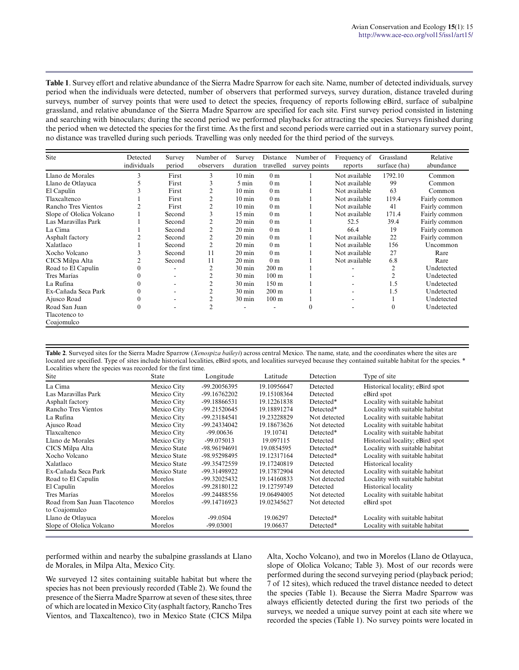**Table 1**. Survey effort and relative abundance of the Sierra Madre Sparrow for each site. Name, number of detected individuals, survey period when the individuals were detected, number of observers that performed surveys, survey duration, distance traveled during surveys, number of survey points that were used to detect the species, frequency of reports following eBird, surface of subalpine grassland, and relative abundance of the Sierra Madre Sparrow are specified for each site. First survey period consisted in listening and searching with binoculars; during the second period we performed playbacks for attracting the species. Surveys finished during the period when we detected the species for the first time. As the first and second periods were carried out in a stationary survey point, no distance was travelled during such periods. Travelling was only needed for the third period of the surveys.

| Site                     | Detected<br>individuals | Survey<br>period | Number of<br>observers | Survey<br>duration | Distance<br>travelled | Number of<br>survey points | Frequency of<br>reports | Grassland<br>surface (ha) | Relative<br>abundance |
|--------------------------|-------------------------|------------------|------------------------|--------------------|-----------------------|----------------------------|-------------------------|---------------------------|-----------------------|
| Llano de Morales         | 3                       | First            | 3                      | $10 \text{ min}$   | 0 <sub>m</sub>        |                            | Not available           | 1792.10                   | Common                |
| Llano de Otlayuca        |                         | First            | 3                      | 5 min              | 0 <sub>m</sub>        |                            | Not available           | 99                        | Common                |
| El Capulín               |                         | First            |                        | $10 \text{ min}$   | 0 <sub>m</sub>        |                            | Not available           | 63                        | Common                |
| Tlaxcaltenco             |                         | First            | $\overline{c}$         | $10 \text{ min}$   | 0 <sub>m</sub>        |                            | Not available           | 119.4                     | Fairly common         |
| Rancho Tres Vientos      |                         | First            | 2                      | $10 \text{ min}$   | 0 <sub>m</sub>        |                            | Not available           | 41                        | Fairly common         |
| Slope of Ololica Volcano |                         | Second           | 3                      | $15 \text{ min}$   | 0 <sub>m</sub>        |                            | Not available           | 171.4                     | Fairly common         |
| Las Maravillas Park      |                         | Second           | 2                      | $20 \text{ min}$   | 0 <sub>m</sub>        |                            | 52.5                    | 39.4                      | Fairly common         |
| La Cima                  |                         | Second           | 2                      | $20 \text{ min}$   | 0 <sub>m</sub>        |                            | 66.4                    | 19                        | Fairly common         |
| Asphalt factory          |                         | Second           | $\overline{c}$         | $20 \text{ min}$   | 0 <sub>m</sub>        |                            | Not available           | 22                        | Fairly common         |
| Xalatlaco                |                         | Second           | $\overline{2}$         | $20 \text{ min}$   | 0 <sub>m</sub>        |                            | Not available           | 156                       | Uncommon              |
| Xocho Volcano            |                         | Second           | 11                     | $20 \text{ min}$   | 0 <sub>m</sub>        |                            | Not available           | 27                        | Rare                  |
| CICS Milpa Alta          |                         | Second           | 11                     | $20 \text{ min}$   | 0 <sub>m</sub>        |                            | Not available           | 6.8                       | Rare                  |
| Road to El Capulín       | 0                       |                  | $\overline{2}$         | $30 \text{ min}$   | $200 \text{ m}$       |                            |                         | $\overline{c}$            | Undetected            |
| Tres Marías              | 0                       |                  |                        | $30 \text{ min}$   | 100 <sub>m</sub>      |                            |                         |                           | Undetected            |
| La Rufina                | $\theta$                |                  | 2                      | $30 \text{ min}$   | 150 <sub>m</sub>      |                            |                         | 1.5                       | Undetected            |
| Ex-Cañada Seca Park      | $\theta$                |                  | 2                      | $30 \text{ min}$   | $200 \text{ m}$       |                            |                         | 1.5                       | Undetected            |
| Ajusco Road              | 0                       |                  |                        | 30 min             | 100 <sub>m</sub>      |                            | ۰.                      |                           | Undetected            |
| Road San Juan            | $\mathbf{0}$            |                  | $\overline{2}$         |                    |                       | $\mathbf{0}$               |                         | $\mathbf{0}$              | Undetected            |
| Tlacotenco to            |                         |                  |                        |                    |                       |                            |                         |                           |                       |
| Coajomulco               |                         |                  |                        |                    |                       |                            |                         |                           |                       |

**Table 2**. Surveyed sites for the Sierra Madre Sparrow (*Xenospiza baileyi*) across central Mexico. The name, state, and the coordinates where the sites are located are specified. Type of sites include historical localities, eBird spots, and localities surveyed because they contained suitable habitat for the species. \* Localities where the species was recorded for the first time.

| Site                          | <b>State</b> | Longitude    | Latitude    | Detection    | Type of site                    |
|-------------------------------|--------------|--------------|-------------|--------------|---------------------------------|
| La Cima                       | Mexico City  | -99.20056395 | 19.10956647 | Detected     | Historical locality; eBird spot |
| Las Maravillas Park           | Mexico City  | -99.16762202 | 19.15108364 | Detected     | eBird spot                      |
| Asphalt factory               | Mexico City  | -99.18866531 | 19.12261838 | Detected*    | Locality with suitable habitat  |
| Rancho Tres Vientos           | Mexico City  | -99.21520645 | 19.18891274 | Detected*    | Locality with suitable habitat  |
| La Rufina                     | Mexico City  | -99.23184541 | 19.23228829 | Not detected | Locality with suitable habitat  |
| Ajusco Road                   | Mexico City  | -99.24334042 | 19.18673626 | Not detected | Locality with suitable habitat  |
| Tlaxcaltenco                  | Mexico City  | $-99.00636$  | 19.10741    | Detected*    | Locality with suitable habitat  |
| Llano de Morales              | Mexico City  | -99.075013   | 19.097115   | Detected     | Historical locality; eBird spot |
| CICS Milpa Alta               | Mexico State | -98.96194691 | 19.0854595  | Detected*    | Locality with suitable habitat  |
| Xocho Volcano                 | Mexico State | -98.95298495 | 19.12317164 | Detected*    | Locality with suitable habitat  |
| Xalatlaco                     | Mexico State | -99.35472559 | 19.17240819 | Detected     | <b>Historical locality</b>      |
| Ex-Cañada Seca Park           | Mexico State | -99.31498922 | 19.17872904 | Not detected | Locality with suitable habitat  |
| Road to El Capulín            | Morelos      | -99.32025432 | 19.14160833 | Not detected | Locality with suitable habitat  |
| El Capulín                    | Morelos      | -99.28180122 | 19.12759749 | Detected     | <b>Historical locality</b>      |
| Tres Marías                   | Morelos      | -99.24488556 | 19.06494005 | Not detected | Locality with suitable habitat  |
| Road from San Juan Tlacotenco | Morelos      | -99.14716923 | 19.02345627 | Not detected | eBird spot                      |
| to Coajomulco                 |              |              |             |              |                                 |
| Llano de Otlayuca             | Morelos      | $-99.0504$   | 19.06297    | Detected*    | Locality with suitable habitat  |
| Slope of Ololica Volcano      | Morelos      | $-99.03001$  | 19.06637    | Detected*    | Locality with suitable habitat  |

performed within and nearby the subalpine grasslands at Llano de Morales, in Milpa Alta, Mexico City.

We surveyed 12 sites containing suitable habitat but where the species has not been previously recorded (Table 2). We found the presence of the Sierra Madre Sparrow at seven of these sites, three of which are located in Mexico City (asphalt factory, Rancho Tres Vientos, and Tlaxcaltenco), two in Mexico State (CICS Milpa Alta, Xocho Volcano), and two in Morelos (Llano de Otlayuca, slope of Ololica Volcano; Table 3). Most of our records were performed during the second surveying period (playback period; 7 of 12 sites), which reduced the travel distance needed to detect the species (Table 1). Because the Sierra Madre Sparrow was always efficiently detected during the first two periods of the surveys, we needed a unique survey point at each site where we recorded the species (Table 1). No survey points were located in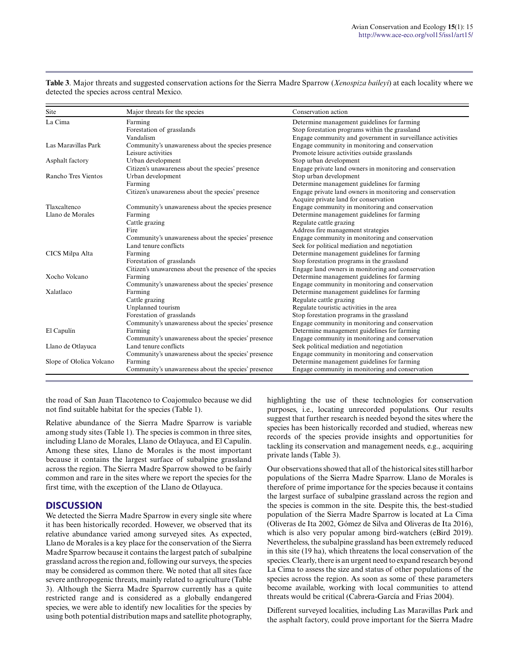| Site                     | Major threats for the species                           | Conservation action                                        |  |  |
|--------------------------|---------------------------------------------------------|------------------------------------------------------------|--|--|
| La Cima                  | Farming                                                 | Determine management guidelines for farming                |  |  |
|                          | Forestation of grasslands                               | Stop forestation programs within the grassland             |  |  |
|                          | Vandalism                                               | Engage community and government in surveillance activities |  |  |
| Las Maravillas Park      | Community's unawareness about the species presence      | Engage community in monitoring and conservation            |  |  |
|                          | Leisure activities                                      | Promote leisure activities outside grasslands              |  |  |
| Asphalt factory          | Urban development                                       | Stop urban development                                     |  |  |
|                          | Citizen's unawareness about the species' presence       | Engage private land owners in monitoring and conservation  |  |  |
| Rancho Tres Vientos      | Urban development                                       | Stop urban development                                     |  |  |
|                          | Farming                                                 | Determine management guidelines for farming                |  |  |
|                          | Citizen's unawareness about the species' presence       | Engage private land owners in monitoring and conservation  |  |  |
|                          |                                                         | Acquire private land for conservation                      |  |  |
| Tlaxcaltenco             | Community's unawareness about the species presence      | Engage community in monitoring and conservation            |  |  |
| Llano de Morales         | Farming                                                 | Determine management guidelines for farming                |  |  |
|                          | Cattle grazing                                          | Regulate cattle grazing                                    |  |  |
|                          | Fire                                                    | Address fire management strategies                         |  |  |
|                          | Community's unawareness about the species' presence     | Engage community in monitoring and conservation            |  |  |
|                          | Land tenure conflicts                                   | Seek for political mediation and negotiation               |  |  |
| CICS Milpa Alta          | Farming                                                 | Determine management guidelines for farming                |  |  |
|                          | Forestation of grasslands                               | Stop forestation programs in the grassland                 |  |  |
|                          | Citizen's unawareness about the presence of the species | Engage land owners in monitoring and conservation          |  |  |
| Xocho Volcano            | Farming                                                 | Determine management guidelines for farming                |  |  |
|                          | Community's unawareness about the species' presence     | Engage community in monitoring and conservation            |  |  |
| Xalatlaco                | Farming                                                 | Determine management guidelines for farming                |  |  |
|                          | Cattle grazing                                          | Regulate cattle grazing                                    |  |  |
|                          | Unplanned tourism                                       | Regulate touristic activities in the area                  |  |  |
|                          | Forestation of grasslands                               | Stop forestation programs in the grassland                 |  |  |
|                          | Community's unawareness about the species' presence     | Engage community in monitoring and conservation            |  |  |
| El Capulín               | Farming                                                 | Determine management guidelines for farming                |  |  |
|                          | Community's unawareness about the species' presence     | Engage community in monitoring and conservation            |  |  |
| Llano de Otlayuca        | Land tenure conflicts                                   | Seek political mediation and negotiation                   |  |  |
|                          | Community's unawareness about the species' presence     | Engage community in monitoring and conservation            |  |  |
| Slope of Ololica Volcano | Farming                                                 | Determine management guidelines for farming                |  |  |
|                          | Community's unawareness about the species' presence     | Engage community in monitoring and conservation            |  |  |

**Table 3**. Major threats and suggested conservation actions for the Sierra Madre Sparrow (*Xenospiza baileyi*) at each locality where we detected the species across central Mexico.

the road of San Juan Tlacotenco to Coajomulco because we did not find suitable habitat for the species (Table 1).

Relative abundance of the Sierra Madre Sparrow is variable among study sites (Table 1). The species is common in three sites, including Llano de Morales, Llano de Otlayuca, and El Capulín. Among these sites, Llano de Morales is the most important because it contains the largest surface of subalpine grassland across the region. The Sierra Madre Sparrow showed to be fairly common and rare in the sites where we report the species for the first time, with the exception of the Llano de Otlayuca.

#### **DISCUSSION**

We detected the Sierra Madre Sparrow in every single site where it has been historically recorded. However, we observed that its relative abundance varied among surveyed sites. As expected, Llano de Morales is a key place for the conservation of the Sierra Madre Sparrow because it contains the largest patch of subalpine grassland across the region and, following our surveys, the species may be considered as common there. We noted that all sites face severe anthropogenic threats, mainly related to agriculture (Table 3). Although the Sierra Madre Sparrow currently has a quite restricted range and is considered as a globally endangered species, we were able to identify new localities for the species by using both potential distribution maps and satellite photography, highlighting the use of these technologies for conservation purposes, i.e., locating unrecorded populations. Our results suggest that further research is needed beyond the sites where the species has been historically recorded and studied, whereas new records of the species provide insights and opportunities for tackling its conservation and management needs, e.g., acquiring private lands (Table 3).

Our observations showed that all of the historical sites still harbor populations of the Sierra Madre Sparrow. Llano de Morales is therefore of prime importance for the species because it contains the largest surface of subalpine grassland across the region and the species is common in the site. Despite this, the best-studied population of the Sierra Madre Sparrow is located at La Cima (Oliveras de Ita 2002, Gómez de Silva and Oliveras de Ita 2016), which is also very popular among bird-watchers (eBird 2019). Nevertheless, the subalpine grassland has been extremely reduced in this site (19 ha), which threatens the local conservation of the species. Clearly, there is an urgent need to expand research beyond La Cima to assess the size and status of other populations of the species across the region. As soon as some of these parameters become available, working with local communities to attend threats would be critical (Cabrera-García and Frias 2004).

Different surveyed localities, including Las Maravillas Park and the asphalt factory, could prove important for the Sierra Madre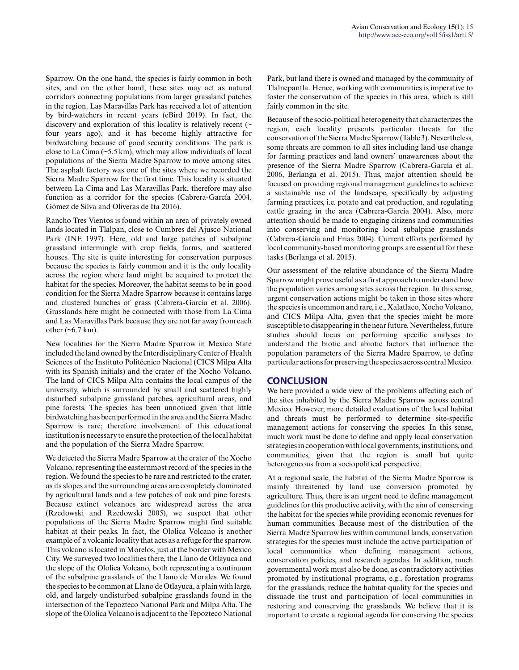Sparrow. On the one hand, the species is fairly common in both sites, and on the other hand, these sites may act as natural corridors connecting populations from larger grassland patches in the region. Las Maravillas Park has received a lot of attention by bird-watchers in recent years (eBird 2019). In fact, the discovery and exploration of this locality is relatively recent  $($ four years ago), and it has become highly attractive for birdwatching because of good security conditions. The park is close to La Cima (~5.5 km), which may allow individuals of local populations of the Sierra Madre Sparrow to move among sites. The asphalt factory was one of the sites where we recorded the Sierra Madre Sparrow for the first time. This locality is situated between La Cima and Las Maravillas Park, therefore may also function as a corridor for the species (Cabrera-García 2004, Gómez de Silva and Oliveras de Ita 2016).

Rancho Tres Vientos is found within an area of privately owned lands located in Tlalpan, close to Cumbres del Ajusco National Park (INE 1997). Here, old and large patches of subalpine grassland intermingle with crop fields, farms, and scattered houses. The site is quite interesting for conservation purposes because the species is fairly common and it is the only locality across the region where land might be acquired to protect the habitat for the species. Moreover, the habitat seems to be in good condition for the Sierra Madre Sparrow because it contains large and clustered bunches of grass (Cabrera-García et al. 2006). Grasslands here might be connected with those from La Cima and Las Maravillas Park because they are not far away from each other  $(\sim 6.7 \text{ km})$ .

New localities for the Sierra Madre Sparrow in Mexico State included the land owned by the Interdisciplinary Center of Health Sciences of the Instituto Politécnico Nacional (CICS Milpa Alta with its Spanish initials) and the crater of the Xocho Volcano. The land of CICS Milpa Alta contains the local campus of the university, which is surrounded by small and scattered highly disturbed subalpine grassland patches, agricultural areas, and pine forests. The species has been unnoticed given that little birdwatching has been performed in the area and the Sierra Madre Sparrow is rare; therefore involvement of this educational institution is necessary to ensure the protection of the local habitat and the population of the Sierra Madre Sparrow.

We detected the Sierra Madre Sparrow at the crater of the Xocho Volcano, representing the easternmost record of the species in the region. We found the species to be rare and restricted to the crater, as its slopes and the surrounding areas are completely dominated by agricultural lands and a few patches of oak and pine forests. Because extinct volcanoes are widespread across the area (Rzedowski and Rzedowski 2005), we suspect that other populations of the Sierra Madre Sparrow might find suitable habitat at their peaks. In fact, the Ololica Volcano is another example of a volcanic locality that acts as a refuge for the sparrow. This volcano is located in Morelos, just at the border with Mexico City. We surveyed two localities there, the Llano de Otlayuca and the slope of the Ololica Volcano, both representing a continuum of the subalpine grasslands of the Llano de Morales. We found the species to be common at Llano de Otlayuca, a plain with large, old, and largely undisturbed subalpine grasslands found in the intersection of the Tepozteco National Park and Milpa Alta. The slope of the Ololica Volcano is adjacent to the Tepozteco National

Park, but land there is owned and managed by the community of Tlalnepantla. Hence, working with communities is imperative to foster the conservation of the species in this area, which is still fairly common in the site.

Because of the socio-political heterogeneity that characterizes the region, each locality presents particular threats for the conservation of the Sierra Madre Sparrow (Table 3). Nevertheless, some threats are common to all sites including land use change for farming practices and land owners' unawareness about the presence of the Sierra Madre Sparrow (Cabrera-García et al. 2006, Berlanga et al. 2015). Thus, major attention should be focused on providing regional management guidelines to achieve a sustainable use of the landscape, specifically by adjusting farming practices, i.e. potato and oat production, and regulating cattle grazing in the area (Cabrera-García 2004). Also, more attention should be made to engaging citizens and communities into conserving and monitoring local subalpine grasslands (Cabrera-García and Frias 2004). Current efforts performed by local community-based monitoring groups are essential for these tasks (Berlanga et al. 2015).

Our assessment of the relative abundance of the Sierra Madre Sparrow might prove useful as a first approach to understand how the population varies among sites across the region. In this sense, urgent conservation actions might be taken in those sites where the species is uncommon and rare, i.e., Xalatlaco, Xocho Volcano, and CICS Milpa Alta, given that the species might be more susceptible to disappearing in the near future. Nevertheless, future studies should focus on performing specific analyses to understand the biotic and abiotic factors that influence the population parameters of the Sierra Madre Sparrow, to define particular actions for preserving the species across central Mexico.

#### **CONCLUSION**

We here provided a wide view of the problems affecting each of the sites inhabited by the Sierra Madre Sparrow across central Mexico. However, more detailed evaluations of the local habitat and threats must be performed to determine site-specific management actions for conserving the species. In this sense, much work must be done to define and apply local conservation strategies in cooperation with local governments, institutions, and communities, given that the region is small but quite heterogeneous from a sociopolitical perspective.

At a regional scale, the habitat of the Sierra Madre Sparrow is mainly threatened by land use conversion promoted by agriculture. Thus, there is an urgent need to define management guidelines for this productive activity, with the aim of conserving the habitat for the species while providing economic revenues for human communities. Because most of the distribution of the Sierra Madre Sparrow lies within communal lands, conservation strategies for the species must include the active participation of local communities when defining management actions, conservation policies, and research agendas. In addition, much governmental work must also be done, as contradictory activities promoted by institutional programs, e.g., forestation programs for the grasslands, reduce the habitat quality for the species and dissuade the trust and participation of local communities in restoring and conserving the grasslands. We believe that it is important to create a regional agenda for conserving the species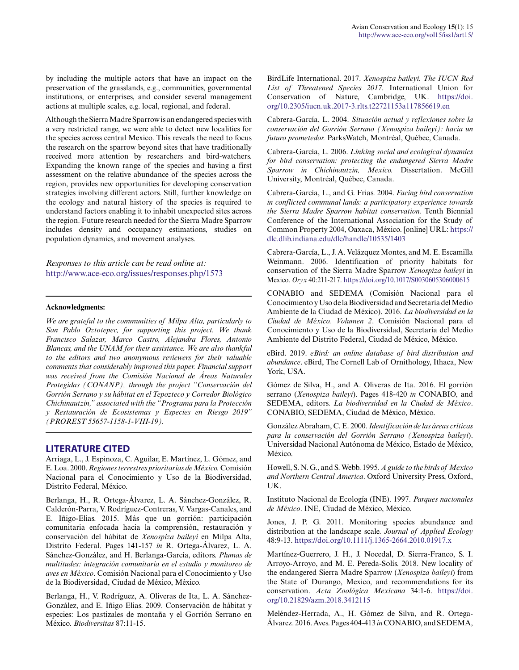by including the multiple actors that have an impact on the preservation of the grasslands, e.g., communities, governmental institutions, or enterprises, and consider several management actions at multiple scales, e.g. local, regional, and federal.

Although the Sierra Madre Sparrow is an endangered species with a very restricted range, we were able to detect new localities for the species across central Mexico. This reveals the need to focus the research on the sparrow beyond sites that have traditionally received more attention by researchers and bird-watchers. Expanding the known range of the species and having a first assessment on the relative abundance of the species across the region, provides new opportunities for developing conservation strategies involving different actors. Still, further knowledge on the ecology and natural history of the species is required to understand factors enabling it to inhabit unexpected sites across the region. Future research needed for the Sierra Madre Sparrow includes density and occupancy estimations, studies on population dynamics, and movement analyses.

*Responses to this article can be read online at:* <http://www.ace-eco.org/issues/responses.php/1573>

#### **Acknowledgments:**

*We are grateful to the communities of Milpa Alta, particularly to San Pablo Oztotepec, for supporting this project. We thank Francisco Salazar, Marco Castro, Alejandra Flores, Antonio Blancas, and the UNAM for their assistance. We are also thankful to the editors and two anonymous reviewers for their valuable comments that considerably improved this paper. Financial support was received from the Comisión Nacional de Áreas Naturales Protegidas (CONANP), through the project "Conservación del Gorrión Serrano y su hábitat en el Tepozteco y Corredor Biológico Chichinautzin," associated with the "Programa para la Protección y Restauración de Ecosistemas y Especies en Riesgo 2019" (PROREST 55657-1158-1-VIII-19).*

#### **LITERATURE CITED**

Arriaga, L., J. Espinoza, C. Aguilar, E. Martínez, L. Gómez, and E. Loa. 2000. *Regiones terrestres prioritarias de México.* Comisión Nacional para el Conocimiento y Uso de la Biodiversidad, Distrito Federal, México.

Berlanga, H., R. Ortega-Álvarez, L. A. Sánchez-González, R. Calderón-Parra, V. Rodríguez-Contreras, V. Vargas-Canales, and E. Iñigo-Elias. 2015. Más que un gorrión: participación comunitaria enfocada hacia la comprensión, restauración y conservación del hábitat de *Xenospiza baileyi* en Milpa Alta, Distrito Federal. Pages 141-157 *in* R. Ortega-Álvarez, L. A. Sánchez-González, and H. Berlanga-García, editors. *Plumas de multitudes: integración comunitaria en el estudio y monitoreo de aves en México*. Comisión Nacional para el Conocimiento y Uso de la Biodiversidad, Ciudad de México, México.

Berlanga, H., V. Rodríguez, A. Oliveras de Ita, L. A. Sánchez-González, and E. Iñigo Elias. 2009. Conservación de hábitat y especies: Los pastizales de montaña y el Gorrión Serrano en México. *Biodiversitas* 87:11-15.

BirdLife International. 2017. *Xenospiza baileyi. The IUCN Red List of Threatened Species 2017.* International Union for Conservation of Nature, Cambridge, UK. [https://doi.](https://doi.org/10.2305/iucn.uk.2017-3.rlts.t22721153a117856619.en) [org/10.2305/iucn.uk.2017-3.rlts.t22721153a117856619.en](https://doi.org/10.2305/iucn.uk.2017-3.rlts.t22721153a117856619.en) 

Cabrera-García, L. 2004. *Situación actual y reflexiones sobre la conservación del Gorrión Serrano (Xenospiza baileyi): hacia un futuro prometedor.* ParksWatch, Montréal, Québec, Canada.

Cabrera-García, L. 2006. *Linking social and ecological dynamics for bird conservation: protecting the endangered Sierra Madre Sparrow in Chichinautzin, Mexico.* Dissertation. McGill University, Montréal, Québec, Canada.

Cabrera-García, L., and G. Frias. 2004. *Facing bird conservation in conflicted communal lands: a participatory experience towards the Sierra Madre Sparrow habitat conservation.* Tenth Biennial Conference of the International Association for the Study of Common Property 2004, Oaxaca, México. [online] URL: [https://](https://dlc.dlib.indiana.edu/dlc/handle/10535/1403) [dlc.dlib.indiana.edu/dlc/handle/10535/1403](https://dlc.dlib.indiana.edu/dlc/handle/10535/1403)

Cabrera-García, L., J. A. Velázquez Montes, and M. E. Escamilla Weinmann. 2006. Identification of priority habitats for conservation of the Sierra Madre Sparrow *Xenospiza baileyi* in Mexico. *Oryx* 40:211-217.<https://doi.org/10.1017/S0030605306000615>

CONABIO and SEDEMA (Comisión Nacional para el Conocimiento y Uso de la Biodiversidad and Secretaría del Medio Ambiente de la Ciudad de México). 2016. *La biodiversidad en la Ciudad de México. Volumen 2*. Comisión Nacional para el Conocimiento y Uso de la Biodiversidad, Secretaría del Medio Ambiente del Distrito Federal, Ciudad de México, México.

eBird. 2019. *eBird: an online database of bird distribution and abundance*. eBird, The Cornell Lab of Ornithology, Ithaca, New York, USA.

Gómez de Silva, H., and A. Oliveras de Ita. 2016. El gorrión serrano (*Xenospiza baileyi*). Pages 418-420 *in* CONABIO, and SEDEMA, editors. *La biodiversidad en la Ciudad de México*. CONABIO, SEDEMA, Ciudad de México, México.

González Abraham, C. E. 2000. *Identificación de las áreas críticas para la conservación del Gorrión Serrano (Xenospiza baileyi*). Universidad Nacional Autónoma de México, Estado de México, México.

Howell, S. N. G., and S. Webb. 1995. *A guide to the birds of Mexico and Northern Central America*. Oxford University Press, Oxford, UK.

Instituto Nacional de Ecología (INE). 1997. *Parques nacionales de México*. INE, Ciudad de México, México.

Jones, J. P. G. 2011. Monitoring species abundance and distribution at the landscape scale. *Journal of Applied Ecology* 48:9-13. <https://doi.org/10.1111/j.1365-2664.2010.01917.x>

Martínez-Guerrero, J. H., J. Nocedal, D. Sierra-Franco, S. I. Arroyo-Arroyo, and M. E. Pereda-Solís. 2018. New locality of the endangered Sierra Madre Sparrow (*Xenospiza baileyi*) from the State of Durango, Mexico, and recommendations for its conservation. *Acta Zoológica Mexicana* 34:1-6. [https://doi.](https://doi.org/10.21829/azm.2018.3412115) [org/10.21829/azm.2018.3412115](https://doi.org/10.21829/azm.2018.3412115) 

Meléndez-Herrada, A., H. Gómez de Silva, and R. Ortega-Álvarez. 2016. Aves. Pages 404-413 *in* CONABIO, and SEDEMA,